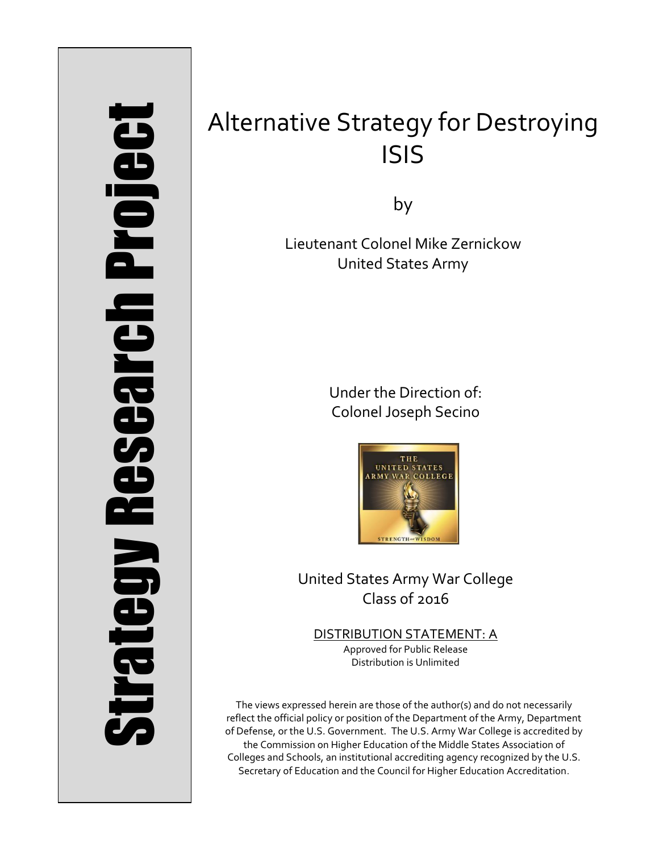# Strategy Research Project **Strategy Research Project**

# Alternative Strategy for Destroying ISIS

by

Lieutenant Colonel Mike Zernickow United States Army

> Under the Direction of: Colonel Joseph Secino



United States Army War College Class of 2016

DISTRIBUTION STATEMENT: A Approved for Public Release Distribution is Unlimited

The views expressed herein are those of the author(s) and do not necessarily reflect the official policy or position of the Department of the Army, Department of Defense, or the U.S. Government. The U.S. Army War College is accredited by the Commission on Higher Education of the Middle States Association of Colleges and Schools, an institutional accrediting agency recognized by the U.S. Secretary of Education and the Council for Higher Education Accreditation.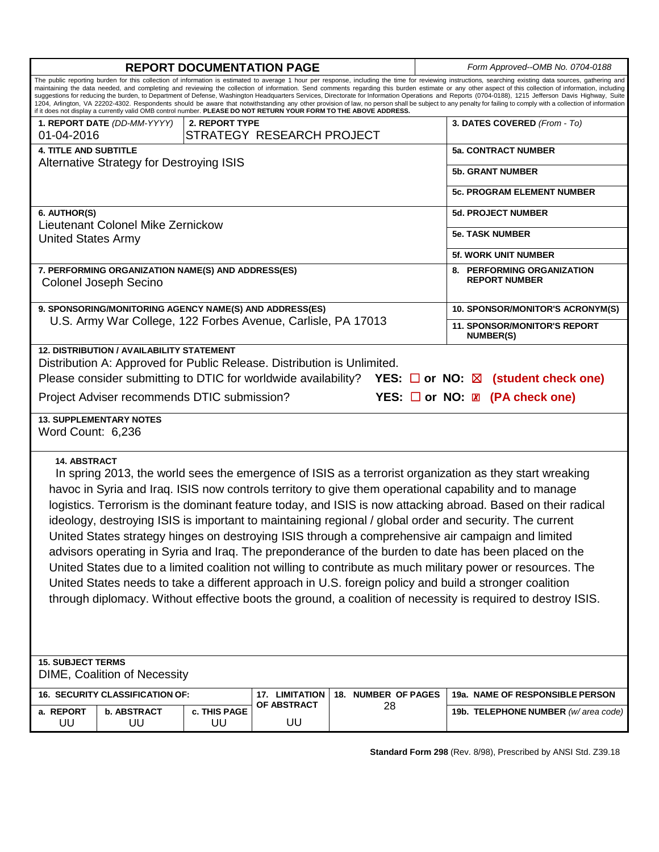| <b>REPORT DOCUMENTATION PAGE</b>                                                                                                                                                                                                                                                                                                                                                                                                                                                                                                                                                                                                                                                                                                                                                                                                                                                                                                                                                                                          |                |                       |                     |                                  | Form Approved--OMB No. 0704-0188                        |  |
|---------------------------------------------------------------------------------------------------------------------------------------------------------------------------------------------------------------------------------------------------------------------------------------------------------------------------------------------------------------------------------------------------------------------------------------------------------------------------------------------------------------------------------------------------------------------------------------------------------------------------------------------------------------------------------------------------------------------------------------------------------------------------------------------------------------------------------------------------------------------------------------------------------------------------------------------------------------------------------------------------------------------------|----------------|-----------------------|---------------------|----------------------------------|---------------------------------------------------------|--|
| The public reporting burden for this collection of information is estimated to average 1 hour per response, including the time for reviewing instructions, searching existing data sources, gathering and<br>maintaining the data needed, and completing and reviewing the collection of information. Send comments regarding this burden estimate or any other aspect of this collection of information, including<br>suggestions for reducing the burden, to Department of Defense, Washington Headguarters Services, Directorate for Information Operations and Reports (0704-0188), 1215 Jefferson Davis Highway, Suite<br>1204, Arlington, VA 22202-4302. Respondents should be aware that notwithstanding any other provision of law, no person shall be subject to any penalty for failing to comply with a collection of information<br>if it does not display a currently valid OMB control number. PLEASE DO NOT RETURN YOUR FORM TO THE ABOVE ADDRESS.                                                         |                |                       |                     |                                  |                                                         |  |
| 1. REPORT DATE (DD-MM-YYYY)                                                                                                                                                                                                                                                                                                                                                                                                                                                                                                                                                                                                                                                                                                                                                                                                                                                                                                                                                                                               | 2. REPORT TYPE |                       |                     |                                  | 3. DATES COVERED (From - To)                            |  |
| STRATEGY RESEARCH PROJECT<br>01-04-2016                                                                                                                                                                                                                                                                                                                                                                                                                                                                                                                                                                                                                                                                                                                                                                                                                                                                                                                                                                                   |                |                       |                     |                                  |                                                         |  |
| <b>4. TITLE AND SUBTITLE</b>                                                                                                                                                                                                                                                                                                                                                                                                                                                                                                                                                                                                                                                                                                                                                                                                                                                                                                                                                                                              |                |                       |                     | <b>5a. CONTRACT NUMBER</b>       |                                                         |  |
| Alternative Strategy for Destroying ISIS                                                                                                                                                                                                                                                                                                                                                                                                                                                                                                                                                                                                                                                                                                                                                                                                                                                                                                                                                                                  |                |                       |                     |                                  | <b>5b. GRANT NUMBER</b>                                 |  |
|                                                                                                                                                                                                                                                                                                                                                                                                                                                                                                                                                                                                                                                                                                                                                                                                                                                                                                                                                                                                                           |                |                       |                     |                                  | 5c. PROGRAM ELEMENT NUMBER                              |  |
| 6. AUTHOR(S)                                                                                                                                                                                                                                                                                                                                                                                                                                                                                                                                                                                                                                                                                                                                                                                                                                                                                                                                                                                                              |                |                       |                     | <b>5d. PROJECT NUMBER</b>        |                                                         |  |
| Lieutenant Colonel Mike Zernickow                                                                                                                                                                                                                                                                                                                                                                                                                                                                                                                                                                                                                                                                                                                                                                                                                                                                                                                                                                                         |                |                       |                     |                                  | <b>5e. TASK NUMBER</b>                                  |  |
| <b>United States Army</b>                                                                                                                                                                                                                                                                                                                                                                                                                                                                                                                                                                                                                                                                                                                                                                                                                                                                                                                                                                                                 |                |                       |                     |                                  |                                                         |  |
|                                                                                                                                                                                                                                                                                                                                                                                                                                                                                                                                                                                                                                                                                                                                                                                                                                                                                                                                                                                                                           |                |                       |                     |                                  | <b>5f. WORK UNIT NUMBER</b>                             |  |
| 7. PERFORMING ORGANIZATION NAME(S) AND ADDRESS(ES)<br><b>Colonel Joseph Secino</b>                                                                                                                                                                                                                                                                                                                                                                                                                                                                                                                                                                                                                                                                                                                                                                                                                                                                                                                                        |                |                       |                     |                                  | 8. PERFORMING ORGANIZATION<br><b>REPORT NUMBER</b>      |  |
| 9. SPONSORING/MONITORING AGENCY NAME(S) AND ADDRESS(ES)                                                                                                                                                                                                                                                                                                                                                                                                                                                                                                                                                                                                                                                                                                                                                                                                                                                                                                                                                                   |                |                       |                     | 10. SPONSOR/MONITOR'S ACRONYM(S) |                                                         |  |
| U.S. Army War College, 122 Forbes Avenue, Carlisle, PA 17013                                                                                                                                                                                                                                                                                                                                                                                                                                                                                                                                                                                                                                                                                                                                                                                                                                                                                                                                                              |                |                       |                     |                                  | <b>11. SPONSOR/MONITOR'S REPORT</b><br><b>NUMBER(S)</b> |  |
| <b>12. DISTRIBUTION / AVAILABILITY STATEMENT</b><br>Distribution A: Approved for Public Release. Distribution is Unlimited.<br>Please consider submitting to DTIC for worldwide availability? YES: $\square$ or NO: $\boxtimes$ (student check one)<br>YES: $\Box$ or NO: $\boxtimes$ (PA check one)<br>Project Adviser recommends DTIC submission?                                                                                                                                                                                                                                                                                                                                                                                                                                                                                                                                                                                                                                                                       |                |                       |                     |                                  |                                                         |  |
| <b>13. SUPPLEMENTARY NOTES</b><br>Word Count: 6,236                                                                                                                                                                                                                                                                                                                                                                                                                                                                                                                                                                                                                                                                                                                                                                                                                                                                                                                                                                       |                |                       |                     |                                  |                                                         |  |
| <b>14. ABSTRACT</b><br>In spring 2013, the world sees the emergence of ISIS as a terrorist organization as they start wreaking<br>havoc in Syria and Iraq. ISIS now controls territory to give them operational capability and to manage<br>logistics. Terrorism is the dominant feature today, and ISIS is now attacking abroad. Based on their radical<br>ideology, destroying ISIS is important to maintaining regional / global order and security. The current<br>United States strategy hinges on destroying ISIS through a comprehensive air campaign and limited<br>advisors operating in Syria and Iraq. The preponderance of the burden to date has been placed on the<br>United States due to a limited coalition not willing to contribute as much military power or resources. The<br>United States needs to take a different approach in U.S. foreign policy and build a stronger coalition<br>through diplomacy. Without effective boots the ground, a coalition of necessity is required to destroy ISIS. |                |                       |                     |                                  |                                                         |  |
| <b>15. SUBJECT TERMS</b><br>DIME, Coalition of Necessity                                                                                                                                                                                                                                                                                                                                                                                                                                                                                                                                                                                                                                                                                                                                                                                                                                                                                                                                                                  |                |                       |                     |                                  |                                                         |  |
| 16. SECURITY CLASSIFICATION OF:                                                                                                                                                                                                                                                                                                                                                                                                                                                                                                                                                                                                                                                                                                                                                                                                                                                                                                                                                                                           |                | <b>17. LIMITATION</b> | 18. NUMBER OF PAGES |                                  | 19a. NAME OF RESPONSIBLE PERSON                         |  |
| a. REPORT<br><b>b. ABSTRACT</b>                                                                                                                                                                                                                                                                                                                                                                                                                                                                                                                                                                                                                                                                                                                                                                                                                                                                                                                                                                                           | c. THIS PAGE   | OF ABSTRACT           | 28                  |                                  | 19b. TELEPHONE NUMBER (w/area code)                     |  |
| UU<br>UU                                                                                                                                                                                                                                                                                                                                                                                                                                                                                                                                                                                                                                                                                                                                                                                                                                                                                                                                                                                                                  | UU             | UU                    |                     |                                  |                                                         |  |

**Standard Form 298** (Rev. 8/98), Prescribed by ANSI Std. Z39.18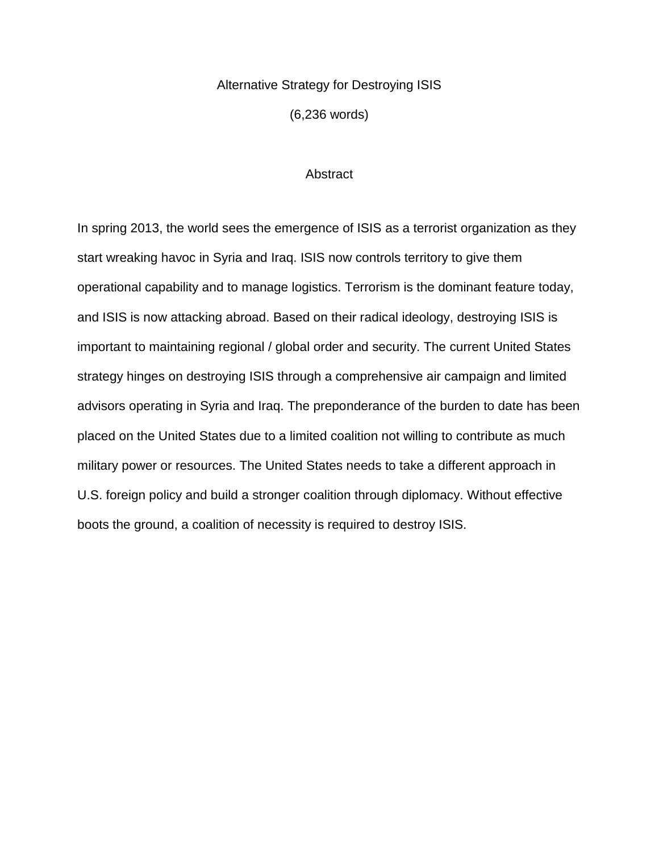### Alternative Strategy for Destroying ISIS

(6,236 words)

### **Abstract**

In spring 2013, the world sees the emergence of ISIS as a terrorist organization as they start wreaking havoc in Syria and Iraq. ISIS now controls territory to give them operational capability and to manage logistics. Terrorism is the dominant feature today, and ISIS is now attacking abroad. Based on their radical ideology, destroying ISIS is important to maintaining regional / global order and security. The current United States strategy hinges on destroying ISIS through a comprehensive air campaign and limited advisors operating in Syria and Iraq. The preponderance of the burden to date has been placed on the United States due to a limited coalition not willing to contribute as much military power or resources. The United States needs to take a different approach in U.S. foreign policy and build a stronger coalition through diplomacy. Without effective boots the ground, a coalition of necessity is required to destroy ISIS.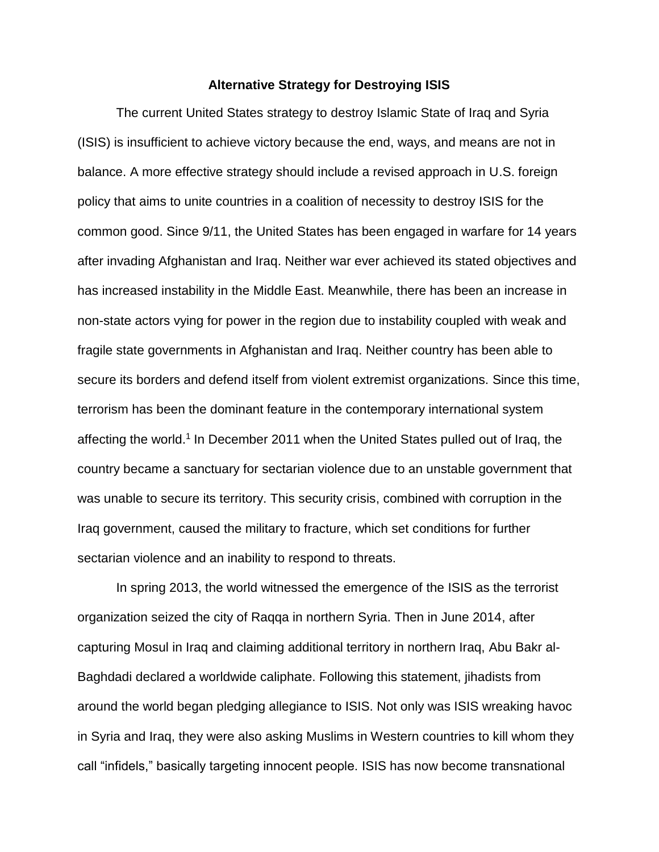# **Alternative Strategy for Destroying ISIS**

The current United States strategy to destroy Islamic State of Iraq and Syria (ISIS) is insufficient to achieve victory because the end, ways, and means are not in balance. A more effective strategy should include a revised approach in U.S. foreign policy that aims to unite countries in a coalition of necessity to destroy ISIS for the common good. Since 9/11, the United States has been engaged in warfare for 14 years after invading Afghanistan and Iraq. Neither war ever achieved its stated objectives and has increased instability in the Middle East. Meanwhile, there has been an increase in non-state actors vying for power in the region due to instability coupled with weak and fragile state governments in Afghanistan and Iraq. Neither country has been able to secure its borders and defend itself from violent extremist organizations. Since this time, terrorism has been the dominant feature in the contemporary international system affecting the world.<sup>1</sup> In December 2011 when the United States pulled out of Iraq, the country became a sanctuary for sectarian violence due to an unstable government that was unable to secure its territory. This security crisis, combined with corruption in the Iraq government, caused the military to fracture, which set conditions for further sectarian violence and an inability to respond to threats.

In spring 2013, the world witnessed the emergence of the ISIS as the terrorist organization seized the city of Raqqa in northern Syria. Then in June 2014, after capturing Mosul in Iraq and claiming additional territory in northern Iraq, Abu Bakr al-Baghdadi declared a worldwide caliphate. Following this statement, jihadists from around the world began pledging allegiance to ISIS. Not only was ISIS wreaking havoc in Syria and Iraq, they were also asking Muslims in Western countries to kill whom they call "infidels," basically targeting innocent people. ISIS has now become transnational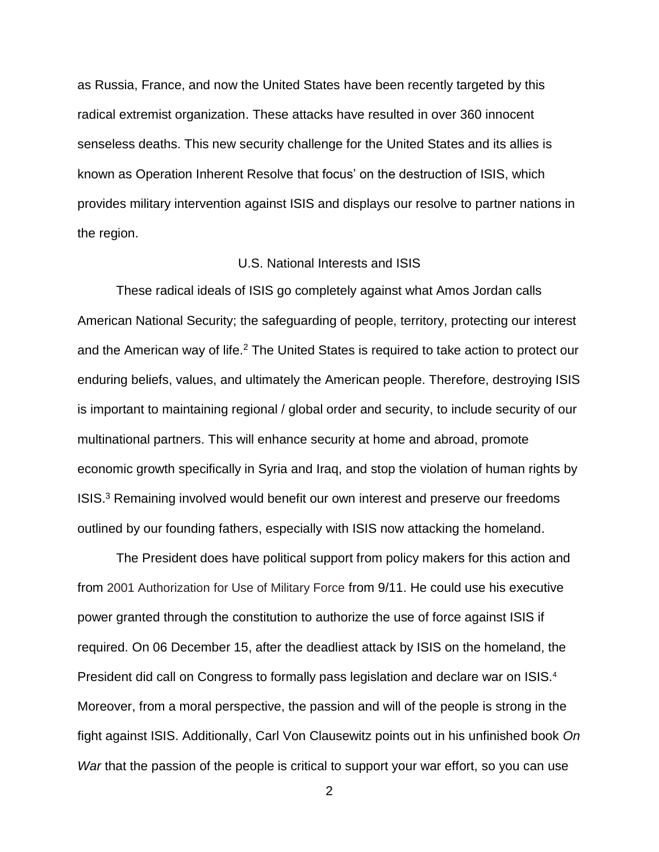as Russia, France, and now the United States have been recently targeted by this radical extremist organization. These attacks have resulted in over 360 innocent senseless deaths. This new security challenge for the United States and its allies is known as Operation Inherent Resolve that focus' on the destruction of ISIS, which provides military intervention against ISIS and displays our resolve to partner nations in the region.

# U.S. National Interests and ISIS

These radical ideals of ISIS go completely against what Amos Jordan calls American National Security; the safeguarding of people, territory, protecting our interest and the American way of life.<sup>2</sup> The United States is required to take action to protect our enduring beliefs, values, and ultimately the American people. Therefore, destroying ISIS is important to maintaining regional / global order and security, to include security of our multinational partners. This will enhance security at home and abroad, promote economic growth specifically in Syria and Iraq, and stop the violation of human rights by ISIS.<sup>3</sup> Remaining involved would benefit our own interest and preserve our freedoms outlined by our founding fathers, especially with ISIS now attacking the homeland.

The President does have political support from policy makers for this action and from 2001 Authorization for Use of Military Force from 9/11. He could use his executive power granted through the constitution to authorize the use of force against ISIS if required. On 06 December 15, after the deadliest attack by ISIS on the homeland, the President did call on Congress to formally pass legislation and declare war on ISIS.<sup>4</sup> Moreover, from a moral perspective, the passion and will of the people is strong in the fight against ISIS. Additionally, Carl Von Clausewitz points out in his unfinished book *On War* that the passion of the people is critical to support your war effort, so you can use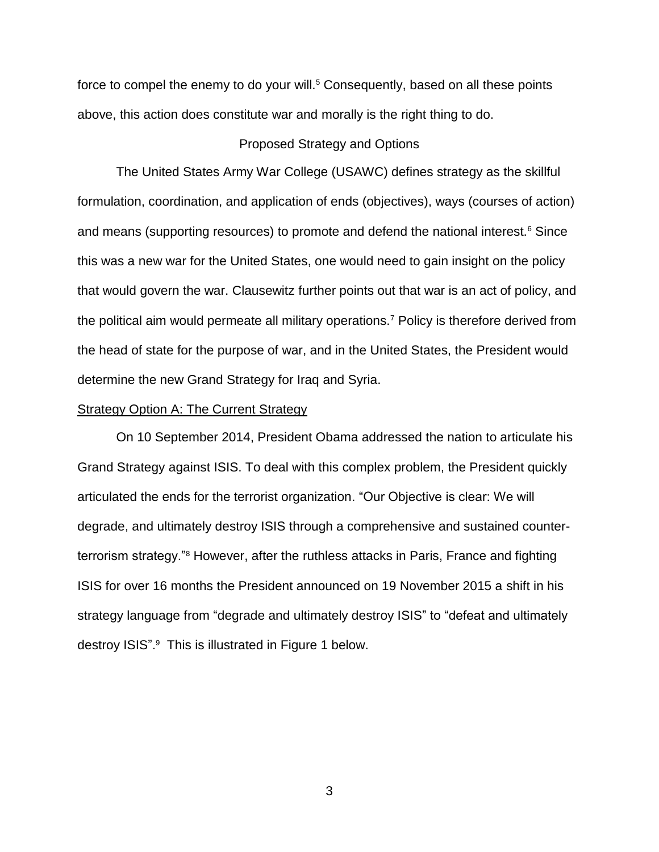force to compel the enemy to do your will.<sup>5</sup> Consequently, based on all these points above, this action does constitute war and morally is the right thing to do.

# Proposed Strategy and Options

The United States Army War College (USAWC) defines strategy as the skillful formulation, coordination, and application of ends (objectives), ways (courses of action) and means (supporting resources) to promote and defend the national interest.<sup>6</sup> Since this was a new war for the United States, one would need to gain insight on the policy that would govern the war. Clausewitz further points out that war is an act of policy, and the political aim would permeate all military operations.<sup>7</sup> Policy is therefore derived from the head of state for the purpose of war, and in the United States, the President would determine the new Grand Strategy for Iraq and Syria.

### Strategy Option A: The Current Strategy

On 10 September 2014, President Obama addressed the nation to articulate his Grand Strategy against ISIS. To deal with this complex problem, the President quickly articulated the ends for the terrorist organization. "Our Objective is clear: We will degrade, and ultimately destroy ISIS through a comprehensive and sustained counterterrorism strategy."<sup>8</sup> However, after the ruthless attacks in Paris, France and fighting ISIS for over 16 months the President announced on 19 November 2015 a shift in his strategy language from "degrade and ultimately destroy ISIS" to "defeat and ultimately destroy ISIS".<sup>9</sup> This is illustrated in Figure 1 below.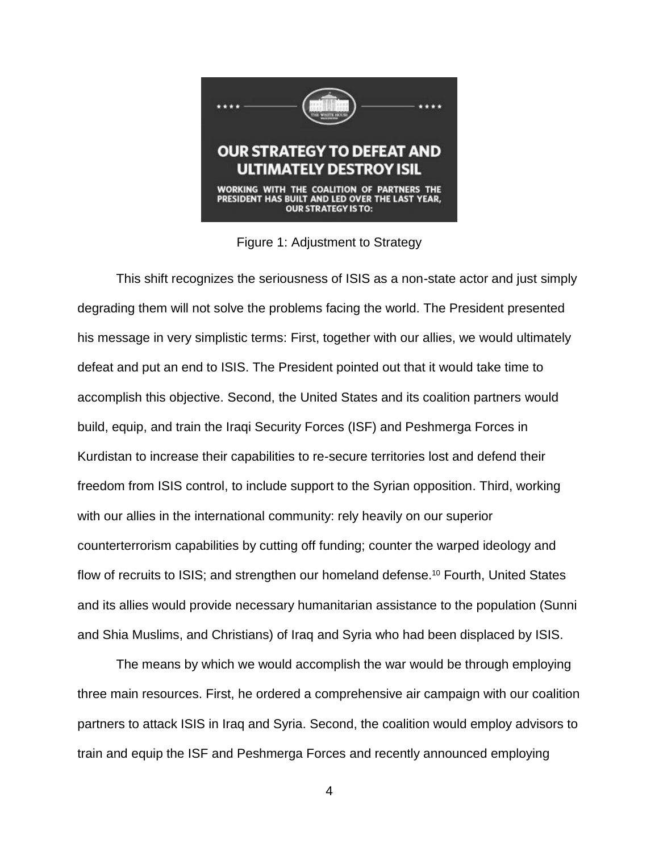

Figure 1: Adjustment to Strategy

This shift recognizes the seriousness of ISIS as a non-state actor and just simply degrading them will not solve the problems facing the world. The President presented his message in very simplistic terms: First, together with our allies, we would ultimately defeat and put an end to ISIS. The President pointed out that it would take time to accomplish this objective. Second, the United States and its coalition partners would build, equip, and train the Iraqi Security Forces (ISF) and Peshmerga Forces in Kurdistan to increase their capabilities to re-secure territories lost and defend their freedom from ISIS control, to include support to the Syrian opposition. Third, working with our allies in the international community: rely heavily on our superior counterterrorism capabilities by cutting off funding; counter the warped ideology and flow of recruits to ISIS; and strengthen our homeland defense.<sup>10</sup> Fourth, United States and its allies would provide necessary humanitarian assistance to the population (Sunni and Shia Muslims, and Christians) of Iraq and Syria who had been displaced by ISIS.

The means by which we would accomplish the war would be through employing three main resources. First, he ordered a comprehensive air campaign with our coalition partners to attack ISIS in Iraq and Syria. Second, the coalition would employ advisors to train and equip the ISF and Peshmerga Forces and recently announced employing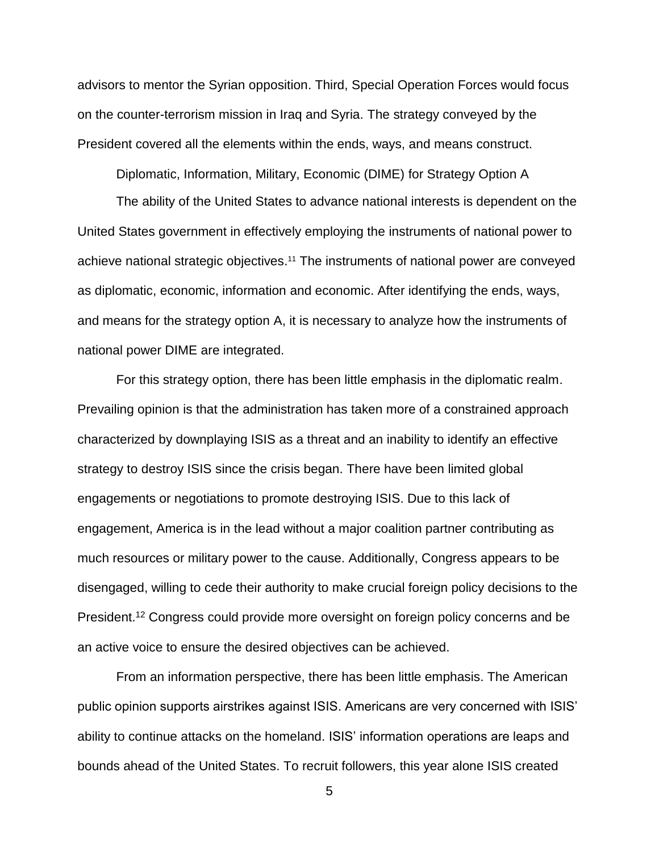advisors to mentor the Syrian opposition. Third, Special Operation Forces would focus on the counter-terrorism mission in Iraq and Syria. The strategy conveyed by the President covered all the elements within the ends, ways, and means construct.

Diplomatic, Information, Military, Economic (DIME) for Strategy Option A

The ability of the United States to advance national interests is dependent on the United States government in effectively employing the instruments of national power to achieve national strategic objectives. <sup>11</sup> The instruments of national power are conveyed as diplomatic, economic, information and economic. After identifying the ends, ways, and means for the strategy option A, it is necessary to analyze how the instruments of national power DIME are integrated.

For this strategy option, there has been little emphasis in the diplomatic realm. Prevailing opinion is that the administration has taken more of a constrained approach characterized by downplaying ISIS as a threat and an inability to identify an effective strategy to destroy ISIS since the crisis began. There have been limited global engagements or negotiations to promote destroying ISIS. Due to this lack of engagement, America is in the lead without a major coalition partner contributing as much resources or military power to the cause. Additionally, Congress appears to be disengaged, willing to cede their authority to make crucial foreign policy decisions to the President.<sup>12</sup> Congress could provide more oversight on foreign policy concerns and be an active voice to ensure the desired objectives can be achieved.

From an information perspective, there has been little emphasis. The American public opinion supports airstrikes against ISIS. Americans are very concerned with ISIS' ability to continue attacks on the homeland. ISIS' information operations are leaps and bounds ahead of the United States. To recruit followers, this year alone ISIS created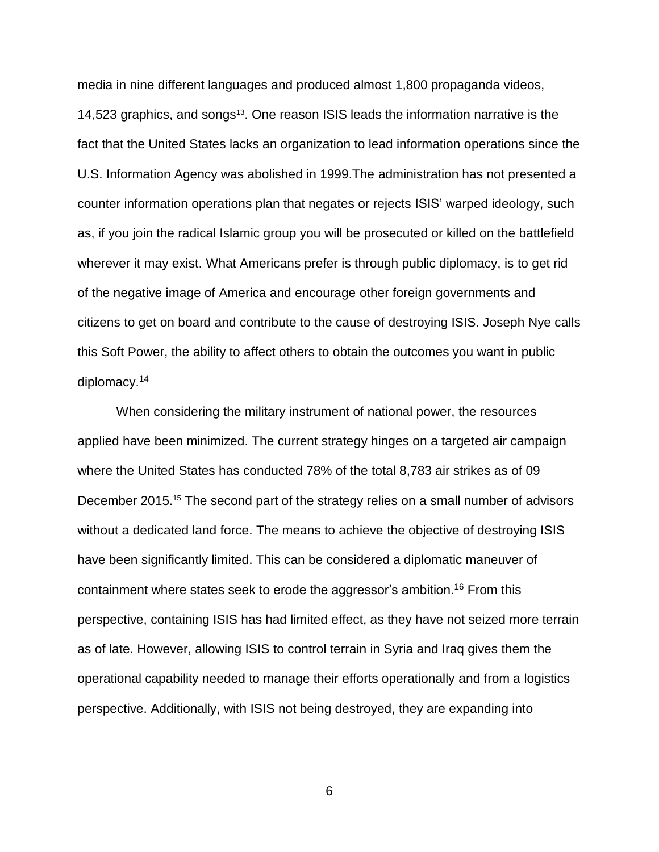media in nine different languages and produced almost 1,800 propaganda videos, 14,523 graphics, and songs<sup>13</sup>. One reason ISIS leads the information narrative is the fact that the United States lacks an organization to lead information operations since the U.S. Information Agency was abolished in 1999.The administration has not presented a counter information operations plan that negates or rejects ISIS' warped ideology, such as, if you join the radical Islamic group you will be prosecuted or killed on the battlefield wherever it may exist. What Americans prefer is through public diplomacy, is to get rid of the negative image of America and encourage other foreign governments and citizens to get on board and contribute to the cause of destroying ISIS. Joseph Nye calls this Soft Power, the ability to affect others to obtain the outcomes you want in public diplomacy.<sup>14</sup>

When considering the military instrument of national power, the resources applied have been minimized. The current strategy hinges on a targeted air campaign where the United States has conducted 78% of the total 8,783 air strikes as of 09 December 2015.<sup>15</sup> The second part of the strategy relies on a small number of advisors without a dedicated land force. The means to achieve the objective of destroying ISIS have been significantly limited. This can be considered a diplomatic maneuver of containment where states seek to erode the aggressor's ambition.<sup>16</sup> From this perspective, containing ISIS has had limited effect, as they have not seized more terrain as of late. However, allowing ISIS to control terrain in Syria and Iraq gives them the operational capability needed to manage their efforts operationally and from a logistics perspective. Additionally, with ISIS not being destroyed, they are expanding into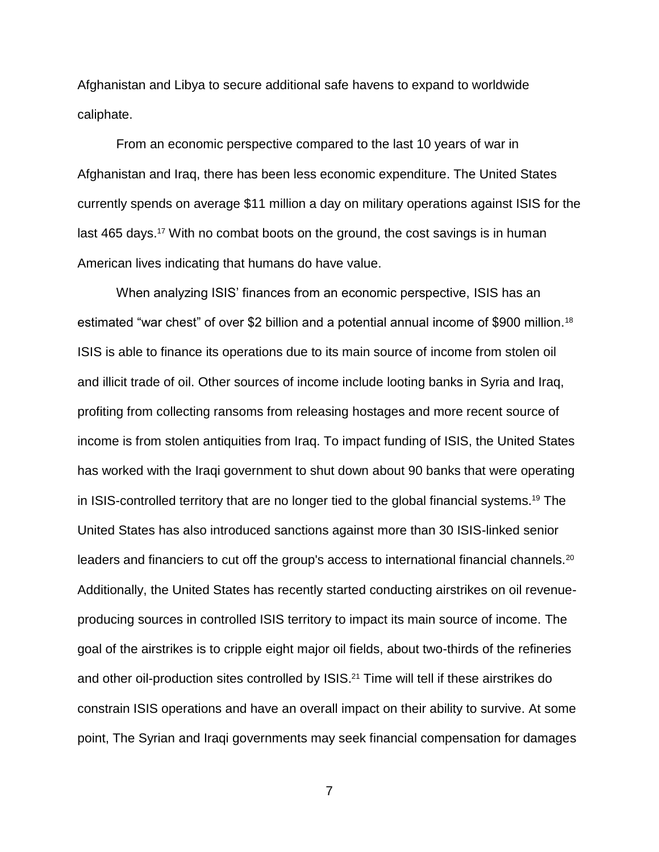Afghanistan and Libya to secure additional safe havens to expand to worldwide caliphate.

From an economic perspective compared to the last 10 years of war in Afghanistan and Iraq, there has been less economic expenditure. The United States currently spends on average \$11 million a day on military operations against ISIS for the last 465 days.<sup>17</sup> With no combat boots on the ground, the cost savings is in human American lives indicating that humans do have value.

When analyzing ISIS' finances from an economic perspective, ISIS has an estimated "war chest" of over \$2 billion and a potential annual income of \$900 million.<sup>18</sup> ISIS is able to finance its operations due to its main source of income from stolen oil and illicit trade of oil. Other sources of income include looting banks in Syria and Iraq, profiting from collecting ransoms from releasing hostages and more recent source of income is from stolen antiquities from Iraq. To impact funding of ISIS, the United States has worked with the Iraqi government to shut down about 90 banks that were operating in ISIS-controlled territory that are no longer tied to the global financial systems.<sup>19</sup> The United States has also introduced sanctions against more than 30 ISIS-linked senior leaders and financiers to cut off the group's access to international financial channels.<sup>20</sup> Additionally, the United States has recently started conducting airstrikes on oil revenueproducing sources in controlled ISIS territory to impact its main source of income. The goal of the airstrikes is to cripple eight major oil fields, about two-thirds of the refineries and other oil-production sites controlled by ISIS.<sup>21</sup> Time will tell if these airstrikes do constrain ISIS operations and have an overall impact on their ability to survive. At some point, The Syrian and Iraqi governments may seek financial compensation for damages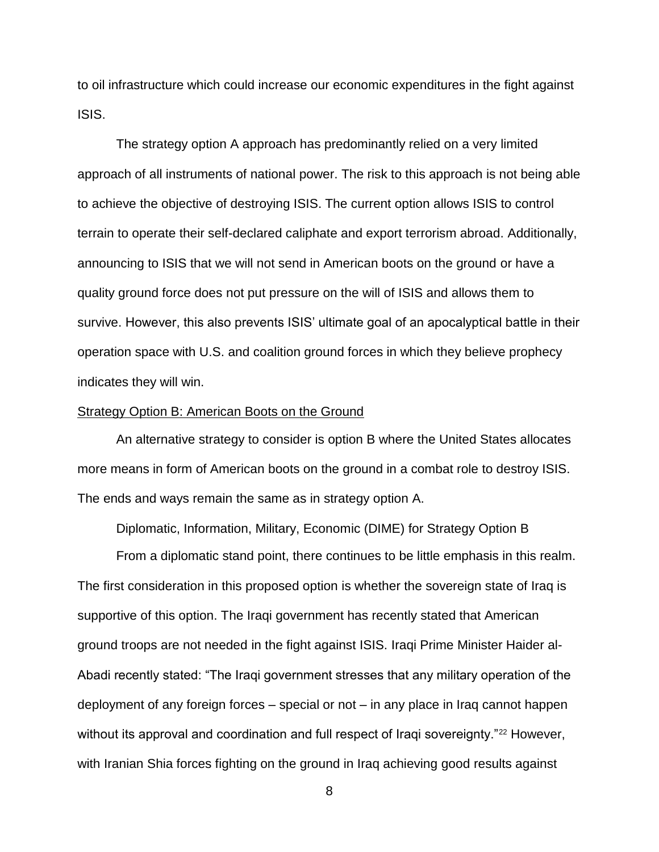to oil infrastructure which could increase our economic expenditures in the fight against ISIS.

The strategy option A approach has predominantly relied on a very limited approach of all instruments of national power. The risk to this approach is not being able to achieve the objective of destroying ISIS. The current option allows ISIS to control terrain to operate their self-declared caliphate and export terrorism abroad. Additionally, announcing to ISIS that we will not send in American boots on the ground or have a quality ground force does not put pressure on the will of ISIS and allows them to survive. However, this also prevents ISIS' ultimate goal of an apocalyptical battle in their operation space with U.S. and coalition ground forces in which they believe prophecy indicates they will win.

### Strategy Option B: American Boots on the Ground

An alternative strategy to consider is option B where the United States allocates more means in form of American boots on the ground in a combat role to destroy ISIS. The ends and ways remain the same as in strategy option A.

Diplomatic, Information, Military, Economic (DIME) for Strategy Option B

From a diplomatic stand point, there continues to be little emphasis in this realm. The first consideration in this proposed option is whether the sovereign state of Iraq is supportive of this option. The Iraqi government has recently stated that American ground troops are not needed in the fight against ISIS. Iraqi Prime Minister Haider al-Abadi recently stated: "The Iraqi government stresses that any military operation of the deployment of any foreign forces – special or not – in any place in Iraq cannot happen without its approval and coordination and full respect of Iraqi sovereignty."<sup>22</sup> However, with Iranian Shia forces fighting on the ground in Iraq achieving good results against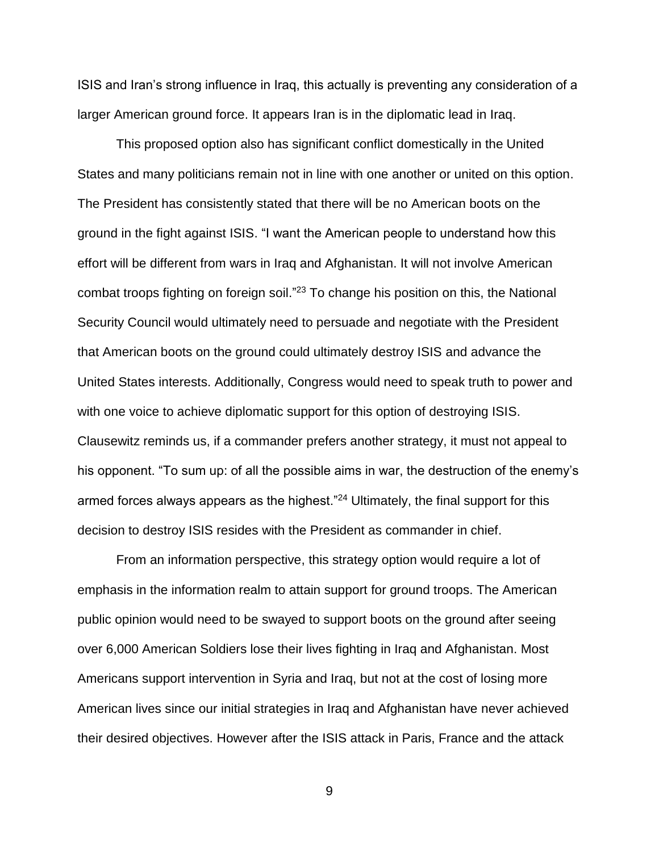ISIS and Iran's strong influence in Iraq, this actually is preventing any consideration of a larger American ground force. It appears Iran is in the diplomatic lead in Iraq.

This proposed option also has significant conflict domestically in the United States and many politicians remain not in line with one another or united on this option. The President has consistently stated that there will be no American boots on the ground in the fight against ISIS. "I want the American people to understand how this effort will be different from wars in Iraq and Afghanistan. It will not involve American combat troops fighting on foreign soil."<sup>23</sup> To change his position on this, the National Security Council would ultimately need to persuade and negotiate with the President that American boots on the ground could ultimately destroy ISIS and advance the United States interests. Additionally, Congress would need to speak truth to power and with one voice to achieve diplomatic support for this option of destroying ISIS. Clausewitz reminds us, if a commander prefers another strategy, it must not appeal to his opponent. "To sum up: of all the possible aims in war, the destruction of the enemy's armed forces always appears as the highest."<sup>24</sup> Ultimately, the final support for this decision to destroy ISIS resides with the President as commander in chief.

From an information perspective, this strategy option would require a lot of emphasis in the information realm to attain support for ground troops. The American public opinion would need to be swayed to support boots on the ground after seeing over 6,000 American Soldiers lose their lives fighting in Iraq and Afghanistan. Most Americans support intervention in Syria and Iraq, but not at the cost of losing more American lives since our initial strategies in Iraq and Afghanistan have never achieved their desired objectives. However after the ISIS attack in Paris, France and the attack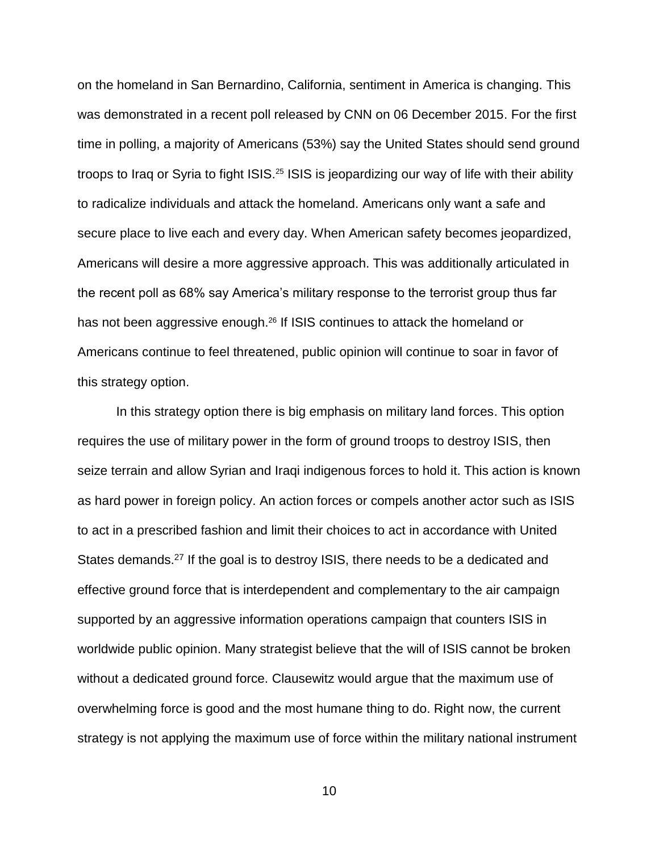on the homeland in San Bernardino, California, sentiment in America is changing. This was demonstrated in a recent poll released by CNN on 06 December 2015. For the first time in polling, a majority of Americans (53%) say the United States should send ground troops to Iraq or Syria to fight ISIS.<sup>25</sup> ISIS is jeopardizing our way of life with their ability to radicalize individuals and attack the homeland. Americans only want a safe and secure place to live each and every day. When American safety becomes jeopardized, Americans will desire a more aggressive approach. This was additionally articulated in the recent poll as 68% say America's military response to the terrorist group thus far has not been aggressive enough.<sup>26</sup> If ISIS continues to attack the homeland or Americans continue to feel threatened, public opinion will continue to soar in favor of this strategy option.

In this strategy option there is big emphasis on military land forces. This option requires the use of military power in the form of ground troops to destroy ISIS, then seize terrain and allow Syrian and Iraqi indigenous forces to hold it. This action is known as hard power in foreign policy. An action forces or compels another actor such as ISIS to act in a prescribed fashion and limit their choices to act in accordance with United States demands.<sup>27</sup> If the goal is to destroy ISIS, there needs to be a dedicated and effective ground force that is interdependent and complementary to the air campaign supported by an aggressive information operations campaign that counters ISIS in worldwide public opinion. Many strategist believe that the will of ISIS cannot be broken without a dedicated ground force. Clausewitz would argue that the maximum use of overwhelming force is good and the most humane thing to do. Right now, the current strategy is not applying the maximum use of force within the military national instrument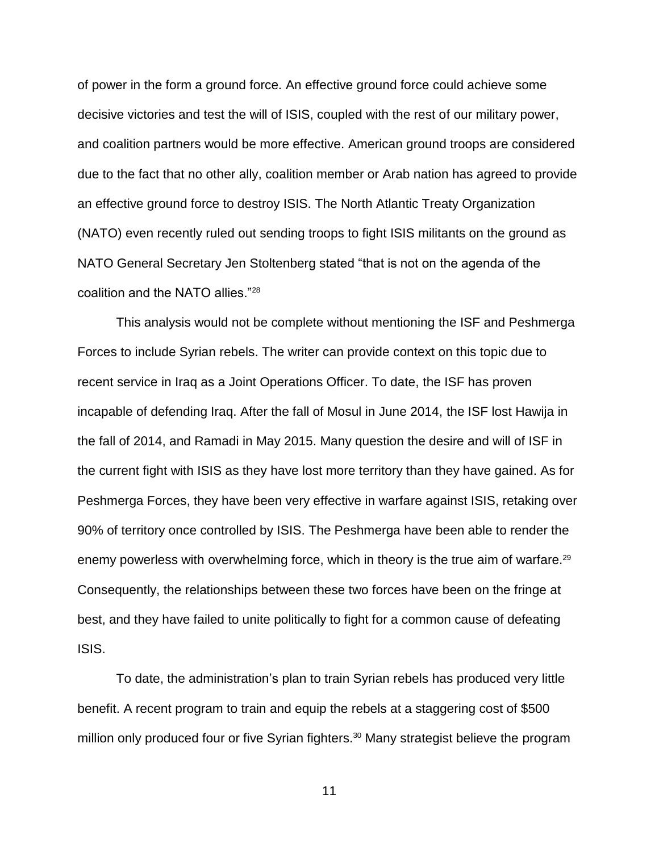of power in the form a ground force. An effective ground force could achieve some decisive victories and test the will of ISIS, coupled with the rest of our military power, and coalition partners would be more effective. American ground troops are considered due to the fact that no other ally, coalition member or Arab nation has agreed to provide an effective ground force to destroy ISIS. The North Atlantic Treaty Organization (NATO) even recently ruled out sending troops to fight ISIS militants on the ground as NATO General Secretary Jen Stoltenberg stated "that is not on the agenda of the coalition and the NATO allies."<sup>28</sup>

This analysis would not be complete without mentioning the ISF and Peshmerga Forces to include Syrian rebels. The writer can provide context on this topic due to recent service in Iraq as a Joint Operations Officer. To date, the ISF has proven incapable of defending Iraq. After the fall of Mosul in June 2014, the ISF lost Hawija in the fall of 2014, and Ramadi in May 2015. Many question the desire and will of ISF in the current fight with ISIS as they have lost more territory than they have gained. As for Peshmerga Forces, they have been very effective in warfare against ISIS, retaking over 90% of territory once controlled by ISIS. The Peshmerga have been able to render the enemy powerless with overwhelming force, which in theory is the true aim of warfare.<sup>29</sup> Consequently, the relationships between these two forces have been on the fringe at best, and they have failed to unite politically to fight for a common cause of defeating ISIS.

To date, the administration's plan to train Syrian rebels has produced very little benefit. A recent program to train and equip the rebels at a staggering cost of \$500 million only produced four or five Syrian fighters.<sup>30</sup> Many strategist believe the program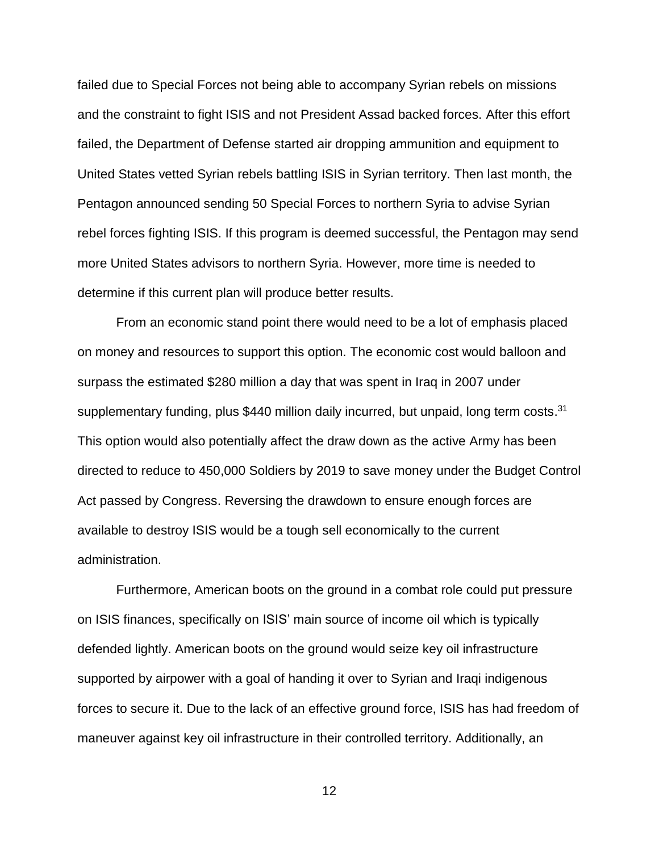failed due to Special Forces not being able to accompany Syrian rebels on missions and the constraint to fight ISIS and not President Assad backed forces. After this effort failed, the Department of Defense started air dropping ammunition and equipment to United States vetted Syrian rebels battling ISIS in Syrian territory. Then last month, the Pentagon announced sending 50 Special Forces to northern Syria to advise Syrian rebel forces fighting ISIS. If this program is deemed successful, the Pentagon may send more United States advisors to northern Syria. However, more time is needed to determine if this current plan will produce better results.

From an economic stand point there would need to be a lot of emphasis placed on money and resources to support this option. The economic cost would balloon and surpass the estimated \$280 million a day that was spent in Iraq in 2007 under supplementary funding, plus \$440 million daily incurred, but unpaid, long term costs.<sup>31</sup> This option would also potentially affect the draw down as the active Army has been directed to reduce to 450,000 Soldiers by 2019 to save money under the Budget Control Act passed by Congress. Reversing the drawdown to ensure enough forces are available to destroy ISIS would be a tough sell economically to the current administration.

Furthermore, American boots on the ground in a combat role could put pressure on ISIS finances, specifically on ISIS' main source of income oil which is typically defended lightly. American boots on the ground would seize key oil infrastructure supported by airpower with a goal of handing it over to Syrian and Iraqi indigenous forces to secure it. Due to the lack of an effective ground force, ISIS has had freedom of maneuver against key oil infrastructure in their controlled territory. Additionally, an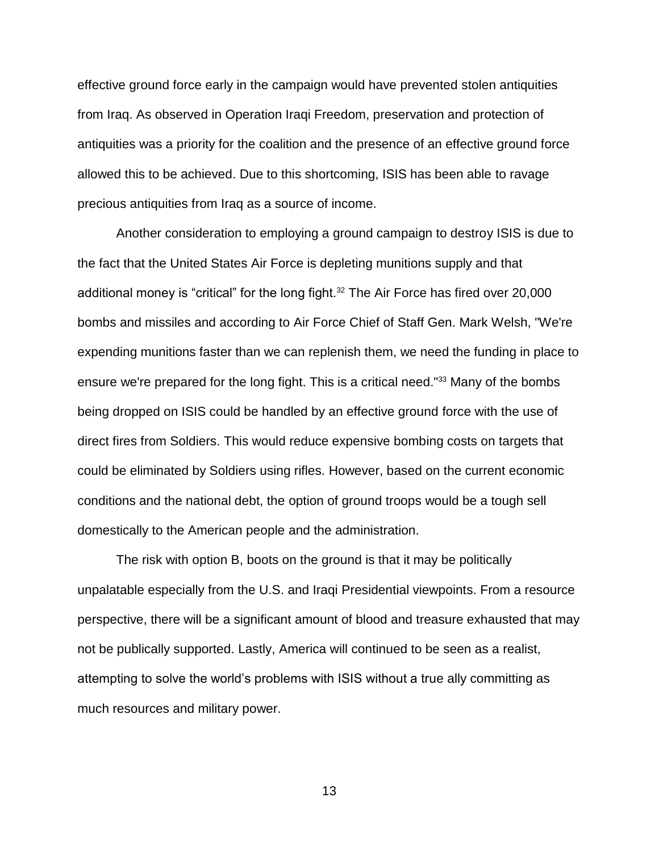effective ground force early in the campaign would have prevented stolen antiquities from Iraq. As observed in Operation Iraqi Freedom, preservation and protection of antiquities was a priority for the coalition and the presence of an effective ground force allowed this to be achieved. Due to this shortcoming, ISIS has been able to ravage precious antiquities from Iraq as a source of income.

Another consideration to employing a ground campaign to destroy ISIS is due to the fact that the United States Air Force is depleting munitions supply and that additional money is "critical" for the long fight.<sup>32</sup> The Air Force has fired over 20,000 bombs and missiles and according to Air Force Chief of Staff Gen. Mark Welsh, "We're expending munitions faster than we can replenish them, we need the funding in place to ensure we're prepared for the long fight. This is a critical need."<sup>33</sup> Many of the bombs being dropped on ISIS could be handled by an effective ground force with the use of direct fires from Soldiers. This would reduce expensive bombing costs on targets that could be eliminated by Soldiers using rifles. However, based on the current economic conditions and the national debt, the option of ground troops would be a tough sell domestically to the American people and the administration.

The risk with option B, boots on the ground is that it may be politically unpalatable especially from the U.S. and Iraqi Presidential viewpoints. From a resource perspective, there will be a significant amount of blood and treasure exhausted that may not be publically supported. Lastly, America will continued to be seen as a realist, attempting to solve the world's problems with ISIS without a true ally committing as much resources and military power.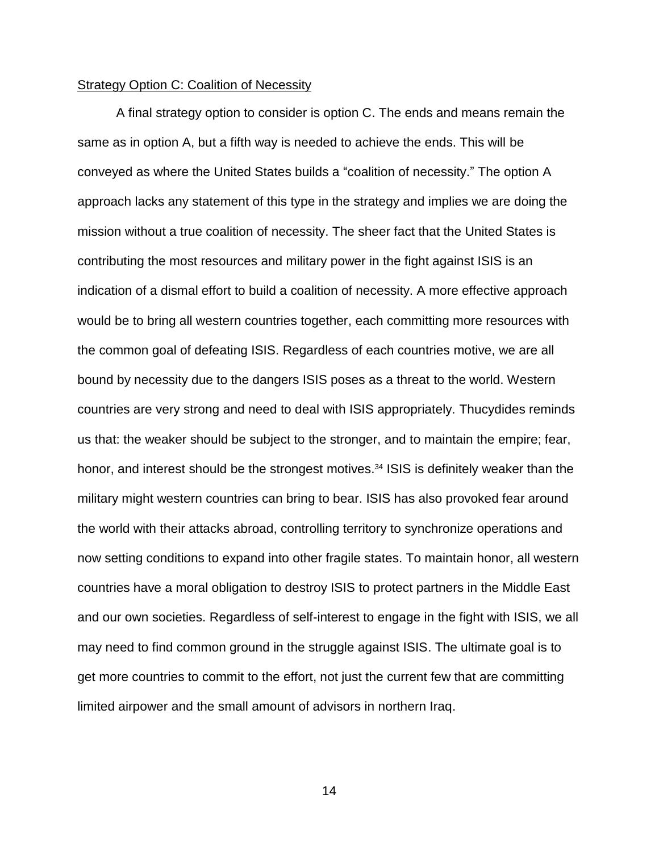### Strategy Option C: Coalition of Necessity

A final strategy option to consider is option C. The ends and means remain the same as in option A, but a fifth way is needed to achieve the ends. This will be conveyed as where the United States builds a "coalition of necessity." The option A approach lacks any statement of this type in the strategy and implies we are doing the mission without a true coalition of necessity. The sheer fact that the United States is contributing the most resources and military power in the fight against ISIS is an indication of a dismal effort to build a coalition of necessity. A more effective approach would be to bring all western countries together, each committing more resources with the common goal of defeating ISIS. Regardless of each countries motive, we are all bound by necessity due to the dangers ISIS poses as a threat to the world. Western countries are very strong and need to deal with ISIS appropriately. Thucydides reminds us that: the weaker should be subject to the stronger, and to maintain the empire; fear, honor, and interest should be the strongest motives.<sup>34</sup> ISIS is definitely weaker than the military might western countries can bring to bear. ISIS has also provoked fear around the world with their attacks abroad, controlling territory to synchronize operations and now setting conditions to expand into other fragile states. To maintain honor, all western countries have a moral obligation to destroy ISIS to protect partners in the Middle East and our own societies. Regardless of self-interest to engage in the fight with ISIS, we all may need to find common ground in the struggle against ISIS. The ultimate goal is to get more countries to commit to the effort, not just the current few that are committing limited airpower and the small amount of advisors in northern Iraq.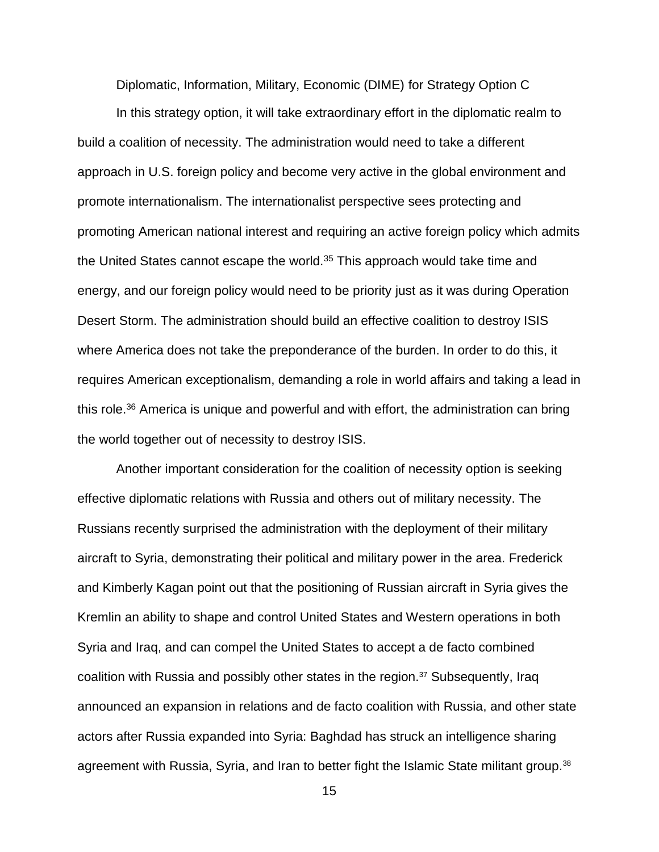Diplomatic, Information, Military, Economic (DIME) for Strategy Option C

In this strategy option, it will take extraordinary effort in the diplomatic realm to build a coalition of necessity. The administration would need to take a different approach in U.S. foreign policy and become very active in the global environment and promote internationalism. The internationalist perspective sees protecting and promoting American national interest and requiring an active foreign policy which admits the United States cannot escape the world.<sup>35</sup> This approach would take time and energy, and our foreign policy would need to be priority just as it was during Operation Desert Storm. The administration should build an effective coalition to destroy ISIS where America does not take the preponderance of the burden. In order to do this, it requires American exceptionalism, demanding a role in world affairs and taking a lead in this role.<sup>36</sup> America is unique and powerful and with effort, the administration can bring the world together out of necessity to destroy ISIS.

Another important consideration for the coalition of necessity option is seeking effective diplomatic relations with Russia and others out of military necessity. The Russians recently surprised the administration with the deployment of their military aircraft to Syria, demonstrating their political and military power in the area. Frederick and Kimberly Kagan point out that the positioning of Russian aircraft in Syria gives the Kremlin an ability to shape and control United States and Western operations in both Syria and Iraq, and can compel the United States to accept a de facto combined coalition with Russia and possibly other states in the region.<sup>37</sup> Subsequently, Iraq announced an expansion in relations and de facto coalition with Russia, and other state actors after Russia expanded into Syria: Baghdad has struck an intelligence sharing agreement with Russia, Syria, and Iran to better fight the Islamic State militant group.<sup>38</sup>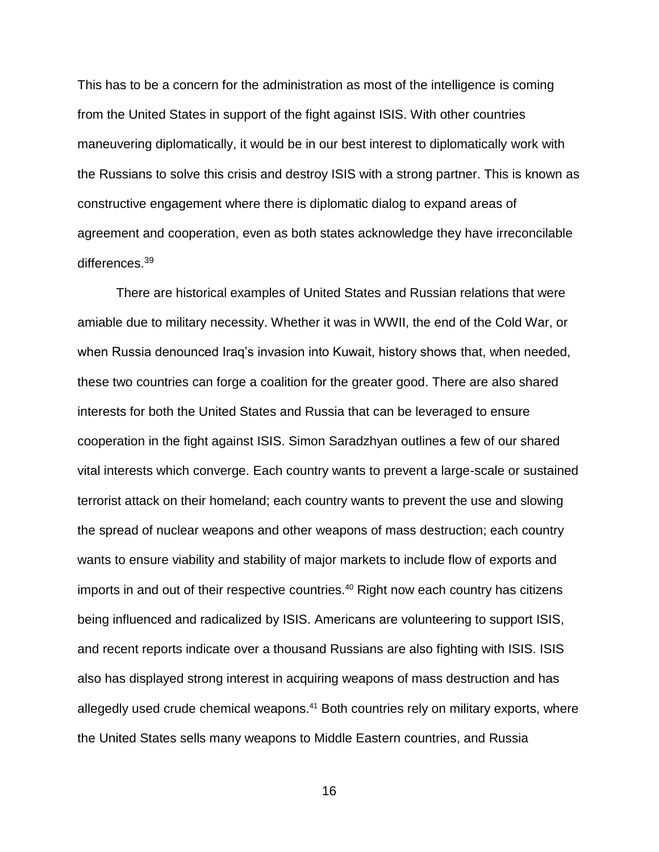This has to be a concern for the administration as most of the intelligence is coming from the United States in support of the fight against ISIS. With other countries maneuvering diplomatically, it would be in our best interest to diplomatically work with the Russians to solve this crisis and destroy ISIS with a strong partner. This is known as constructive engagement where there is diplomatic dialog to expand areas of agreement and cooperation, even as both states acknowledge they have irreconcilable differences.<sup>39</sup>

There are historical examples of United States and Russian relations that were amiable due to military necessity. Whether it was in WWII, the end of the Cold War, or when Russia denounced Iraq's invasion into Kuwait, history shows that, when needed, these two countries can forge a coalition for the greater good. There are also shared interests for both the United States and Russia that can be leveraged to ensure cooperation in the fight against ISIS. Simon Saradzhyan outlines a few of our shared vital interests which converge. Each country wants to prevent a large-scale or sustained terrorist attack on their homeland; each country wants to prevent the use and slowing the spread of nuclear weapons and other weapons of mass destruction; each country wants to ensure viability and stability of major markets to include flow of exports and imports in and out of their respective countries.<sup>40</sup> Right now each country has citizens being influenced and radicalized by ISIS. Americans are volunteering to support ISIS, and recent reports indicate over a thousand Russians are also fighting with ISIS. ISIS also has displayed strong interest in acquiring weapons of mass destruction and has allegedly used crude chemical weapons. <sup>41</sup> Both countries rely on military exports, where the United States sells many weapons to Middle Eastern countries, and Russia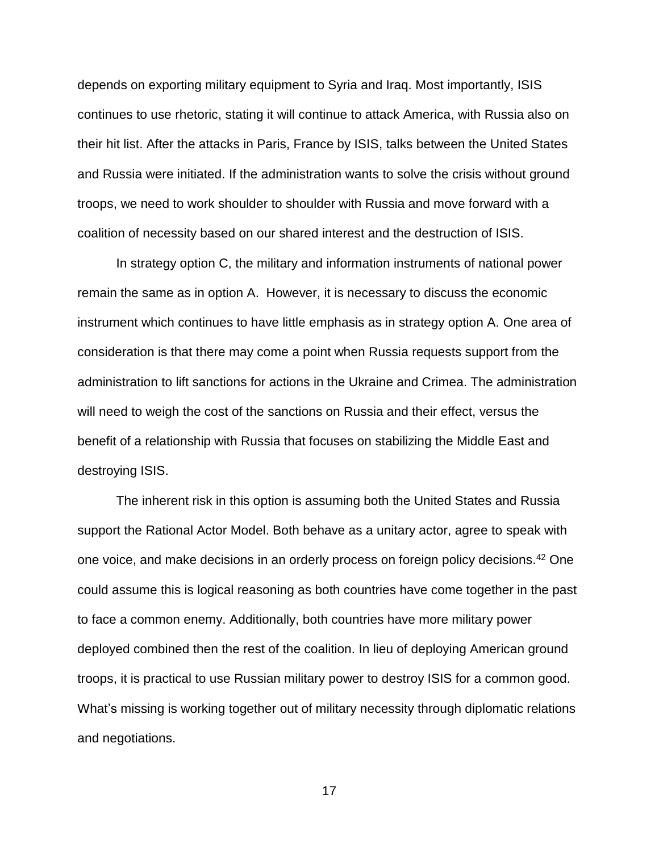depends on exporting military equipment to Syria and Iraq. Most importantly, ISIS continues to use rhetoric, stating it will continue to attack America, with Russia also on their hit list. After the attacks in Paris, France by ISIS, talks between the United States and Russia were initiated. If the administration wants to solve the crisis without ground troops, we need to work shoulder to shoulder with Russia and move forward with a coalition of necessity based on our shared interest and the destruction of ISIS.

In strategy option C, the military and information instruments of national power remain the same as in option A. However, it is necessary to discuss the economic instrument which continues to have little emphasis as in strategy option A. One area of consideration is that there may come a point when Russia requests support from the administration to lift sanctions for actions in the Ukraine and Crimea. The administration will need to weigh the cost of the sanctions on Russia and their effect, versus the benefit of a relationship with Russia that focuses on stabilizing the Middle East and destroying ISIS.

The inherent risk in this option is assuming both the United States and Russia support the Rational Actor Model. Both behave as a unitary actor, agree to speak with one voice, and make decisions in an orderly process on foreign policy decisions.<sup>42</sup> One could assume this is logical reasoning as both countries have come together in the past to face a common enemy. Additionally, both countries have more military power deployed combined then the rest of the coalition. In lieu of deploying American ground troops, it is practical to use Russian military power to destroy ISIS for a common good. What's missing is working together out of military necessity through diplomatic relations and negotiations.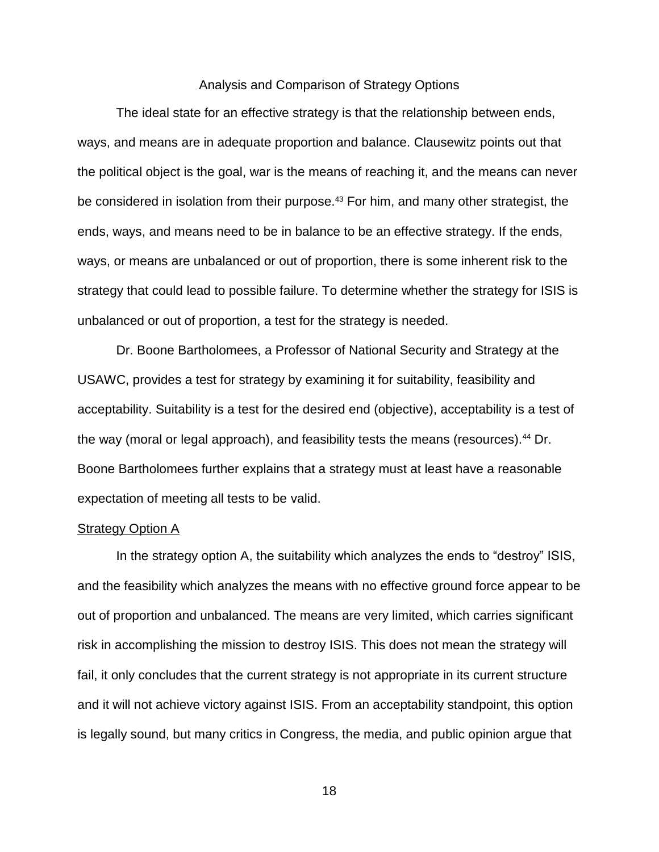### Analysis and Comparison of Strategy Options

The ideal state for an effective strategy is that the relationship between ends, ways, and means are in adequate proportion and balance. Clausewitz points out that the political object is the goal, war is the means of reaching it, and the means can never be considered in isolation from their purpose.<sup>43</sup> For him, and many other strategist, the ends, ways, and means need to be in balance to be an effective strategy. If the ends, ways, or means are unbalanced or out of proportion, there is some inherent risk to the strategy that could lead to possible failure. To determine whether the strategy for ISIS is unbalanced or out of proportion, a test for the strategy is needed.

Dr. Boone Bartholomees, a Professor of National Security and Strategy at the USAWC, provides a test for strategy by examining it for suitability, feasibility and acceptability. Suitability is a test for the desired end (objective), acceptability is a test of the way (moral or legal approach), and feasibility tests the means (resources).<sup>44</sup> Dr. Boone Bartholomees further explains that a strategy must at least have a reasonable expectation of meeting all tests to be valid.

### Strategy Option A

In the strategy option A, the suitability which analyzes the ends to "destroy" ISIS, and the feasibility which analyzes the means with no effective ground force appear to be out of proportion and unbalanced. The means are very limited, which carries significant risk in accomplishing the mission to destroy ISIS. This does not mean the strategy will fail, it only concludes that the current strategy is not appropriate in its current structure and it will not achieve victory against ISIS. From an acceptability standpoint, this option is legally sound, but many critics in Congress, the media, and public opinion argue that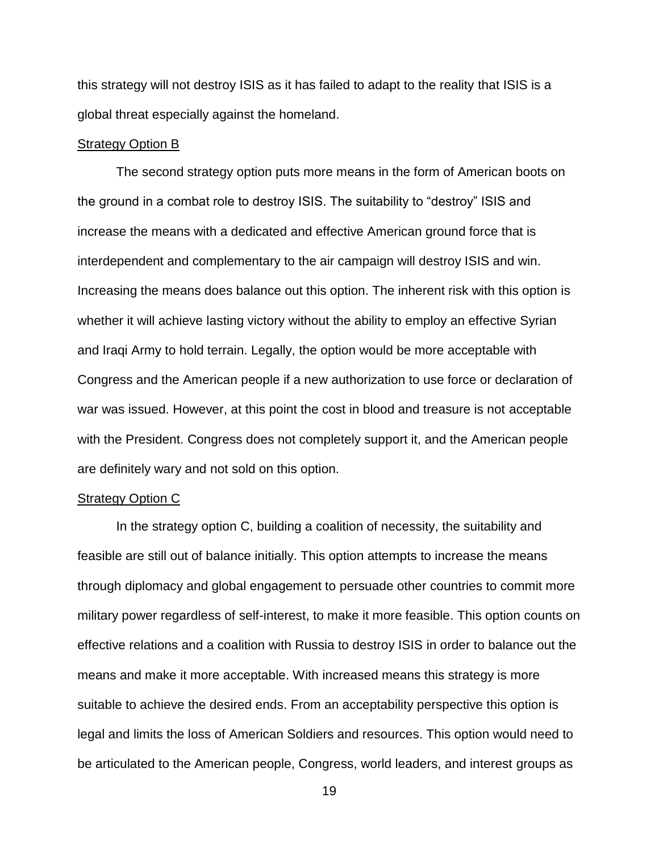this strategy will not destroy ISIS as it has failed to adapt to the reality that ISIS is a global threat especially against the homeland.

### Strategy Option B

The second strategy option puts more means in the form of American boots on the ground in a combat role to destroy ISIS. The suitability to "destroy" ISIS and increase the means with a dedicated and effective American ground force that is interdependent and complementary to the air campaign will destroy ISIS and win. Increasing the means does balance out this option. The inherent risk with this option is whether it will achieve lasting victory without the ability to employ an effective Syrian and Iraqi Army to hold terrain. Legally, the option would be more acceptable with Congress and the American people if a new authorization to use force or declaration of war was issued. However, at this point the cost in blood and treasure is not acceptable with the President. Congress does not completely support it, and the American people are definitely wary and not sold on this option.

### **Strategy Option C**

In the strategy option C, building a coalition of necessity, the suitability and feasible are still out of balance initially. This option attempts to increase the means through diplomacy and global engagement to persuade other countries to commit more military power regardless of self-interest, to make it more feasible. This option counts on effective relations and a coalition with Russia to destroy ISIS in order to balance out the means and make it more acceptable. With increased means this strategy is more suitable to achieve the desired ends. From an acceptability perspective this option is legal and limits the loss of American Soldiers and resources. This option would need to be articulated to the American people, Congress, world leaders, and interest groups as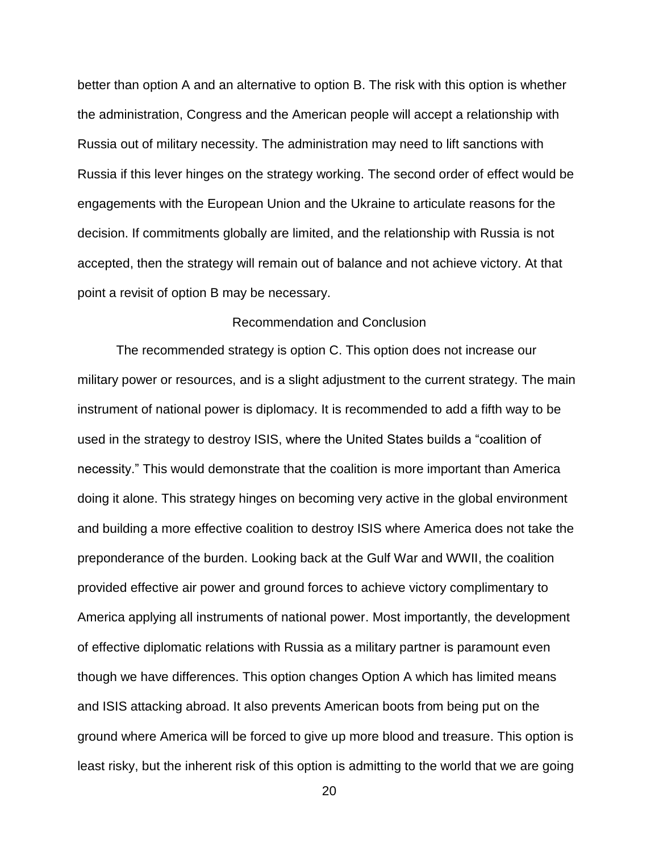better than option A and an alternative to option B. The risk with this option is whether the administration, Congress and the American people will accept a relationship with Russia out of military necessity. The administration may need to lift sanctions with Russia if this lever hinges on the strategy working. The second order of effect would be engagements with the European Union and the Ukraine to articulate reasons for the decision. If commitments globally are limited, and the relationship with Russia is not accepted, then the strategy will remain out of balance and not achieve victory. At that point a revisit of option B may be necessary.

# Recommendation and Conclusion

The recommended strategy is option C. This option does not increase our military power or resources, and is a slight adjustment to the current strategy. The main instrument of national power is diplomacy. It is recommended to add a fifth way to be used in the strategy to destroy ISIS, where the United States builds a "coalition of necessity." This would demonstrate that the coalition is more important than America doing it alone. This strategy hinges on becoming very active in the global environment and building a more effective coalition to destroy ISIS where America does not take the preponderance of the burden. Looking back at the Gulf War and WWII, the coalition provided effective air power and ground forces to achieve victory complimentary to America applying all instruments of national power. Most importantly, the development of effective diplomatic relations with Russia as a military partner is paramount even though we have differences. This option changes Option A which has limited means and ISIS attacking abroad. It also prevents American boots from being put on the ground where America will be forced to give up more blood and treasure. This option is least risky, but the inherent risk of this option is admitting to the world that we are going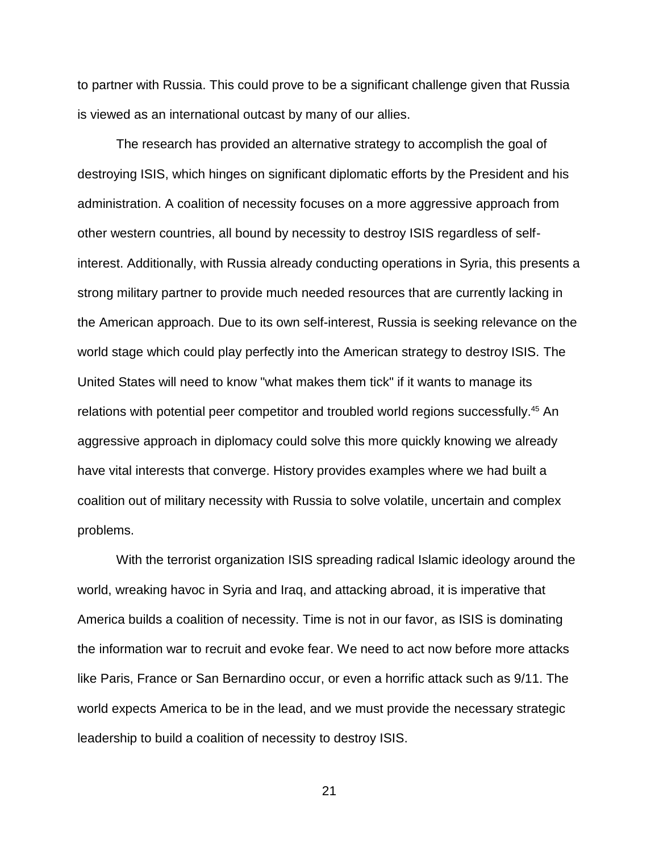to partner with Russia. This could prove to be a significant challenge given that Russia is viewed as an international outcast by many of our allies.

The research has provided an alternative strategy to accomplish the goal of destroying ISIS, which hinges on significant diplomatic efforts by the President and his administration. A coalition of necessity focuses on a more aggressive approach from other western countries, all bound by necessity to destroy ISIS regardless of selfinterest. Additionally, with Russia already conducting operations in Syria, this presents a strong military partner to provide much needed resources that are currently lacking in the American approach. Due to its own self-interest, Russia is seeking relevance on the world stage which could play perfectly into the American strategy to destroy ISIS. The United States will need to know "what makes them tick" if it wants to manage its relations with potential peer competitor and troubled world regions successfully.<sup>45</sup> An aggressive approach in diplomacy could solve this more quickly knowing we already have vital interests that converge. History provides examples where we had built a coalition out of military necessity with Russia to solve volatile, uncertain and complex problems.

With the terrorist organization ISIS spreading radical Islamic ideology around the world, wreaking havoc in Syria and Iraq, and attacking abroad, it is imperative that America builds a coalition of necessity. Time is not in our favor, as ISIS is dominating the information war to recruit and evoke fear. We need to act now before more attacks like Paris, France or San Bernardino occur, or even a horrific attack such as 9/11. The world expects America to be in the lead, and we must provide the necessary strategic leadership to build a coalition of necessity to destroy ISIS.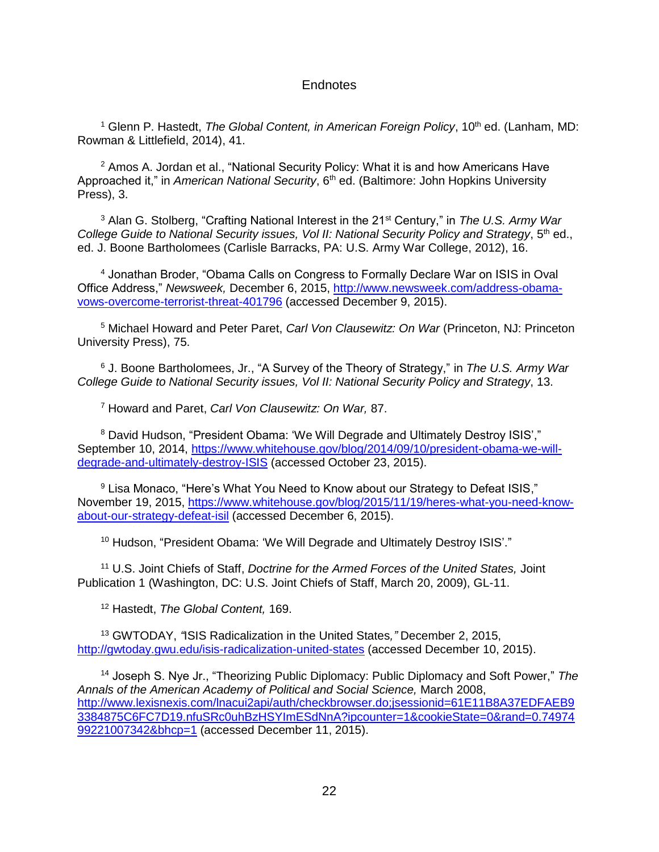# Endnotes

<sup>1</sup> Glenn P. Hastedt, *The Global Content, in American Foreign Policy*, 10<sup>th</sup> ed. (Lanham, MD: Rowman & Littlefield, 2014), 41.

 $2$  Amos A. Jordan et al., "National Security Policy: What it is and how Americans Have Approached it," in *American National Security*, 6<sup>th</sup> ed. (Baltimore: John Hopkins University Press), 3.

<sup>3</sup> Alan G. Stolberg, "Crafting National Interest in the 21<sup>st</sup> Century," in *The U.S. Army War College Guide to National Security issues, Vol II: National Security Policy and Strategy, 5<sup>th</sup> ed.,* ed. J. Boone Bartholomees (Carlisle Barracks, PA: U.S. Army War College, 2012), 16.

<sup>4</sup> Jonathan Broder, "Obama Calls on Congress to Formally Declare War on ISIS in Oval Office Address," *Newsweek,* December 6, 2015, [http://www.newsweek.com/address-obama](http://www.newsweek.com/address-obama-vows-overcome-terrorist-threat-401796)[vows-overcome-terrorist-threat-401796](http://www.newsweek.com/address-obama-vows-overcome-terrorist-threat-401796) (accessed December 9, 2015).

<sup>5</sup> Michael Howard and Peter Paret, *Carl Von Clausewitz: On War* (Princeton, NJ: Princeton University Press), 75.

<sup>6</sup> J. Boone Bartholomees, Jr., "A Survey of the Theory of Strategy," in *The U.S. Army War College Guide to National Security issues, Vol II: National Security Policy and Strategy*, 13.

<sup>7</sup> Howard and Paret, *Carl Von Clausewitz: On War,* 87.

<sup>8</sup> David Hudson, "President Obama: 'We Will Degrade and Ultimately Destroy ISIS'," September 10, 2014, [https://www.whitehouse.gov/blog/2014/09/10/president-obama-we-will](https://www.whitehouse.gov/blog/2014/09/10/president-obama-we-will-degrade-and-ultimately-destroy-isil)[degrade-and-ultimately-destroy-ISIS](https://www.whitehouse.gov/blog/2014/09/10/president-obama-we-will-degrade-and-ultimately-destroy-isil) (accessed October 23, 2015).

<sup>9</sup> Lisa Monaco, "Here's What You Need to Know about our Strategy to Defeat ISIS," November 19, 2015, [https://www.whitehouse.gov/blog/2015/11/19/heres-what-you-need-know](https://www.whitehouse.gov/blog/2015/11/19/heres-what-you-need-know-about-our-strategy-defeat-isil)[about-our-strategy-defeat-isil](https://www.whitehouse.gov/blog/2015/11/19/heres-what-you-need-know-about-our-strategy-defeat-isil) (accessed December 6, 2015).

<sup>10</sup> Hudson, "President Obama: 'We Will Degrade and Ultimately Destroy ISIS'."

<sup>11</sup> U.S. Joint Chiefs of Staff, *Doctrine for the Armed Forces of the United States,* Joint Publication 1 (Washington, DC: U.S. Joint Chiefs of Staff, March 20, 2009), GL-11.

<sup>12</sup> Hastedt, *The Global Content,* 169.

<sup>13</sup> GWTODAY, *"*ISIS Radicalization in the United States*,"* December 2, 2015, <http://gwtoday.gwu.edu/isis-radicalization-united-states> (accessed December 10, 2015).

<sup>14</sup> Joseph S. Nye Jr., "Theorizing Public Diplomacy: Public Diplomacy and Soft Power," *The Annals of the American Academy of Political and Social Science,* March 2008, [http://www.lexisnexis.com/lnacui2api/auth/checkbrowser.do;jsessionid=61E11B8A37EDFAEB9](http://www.lexisnexis.com/lnacui2api/auth/checkbrowser.do;jsessionid=61E11B8A37EDFAEB93384875C6FC7D19.nfuSRc0uhBzHSYImESdNnA?ipcounter=1&cookieState=0&rand=0.7497499221007342&bhcp=1) [3384875C6FC7D19.nfuSRc0uhBzHSYImESdNnA?ipcounter=1&cookieState=0&rand=0.74974](http://www.lexisnexis.com/lnacui2api/auth/checkbrowser.do;jsessionid=61E11B8A37EDFAEB93384875C6FC7D19.nfuSRc0uhBzHSYImESdNnA?ipcounter=1&cookieState=0&rand=0.7497499221007342&bhcp=1) [99221007342&bhcp=1](http://www.lexisnexis.com/lnacui2api/auth/checkbrowser.do;jsessionid=61E11B8A37EDFAEB93384875C6FC7D19.nfuSRc0uhBzHSYImESdNnA?ipcounter=1&cookieState=0&rand=0.7497499221007342&bhcp=1) (accessed December 11, 2015).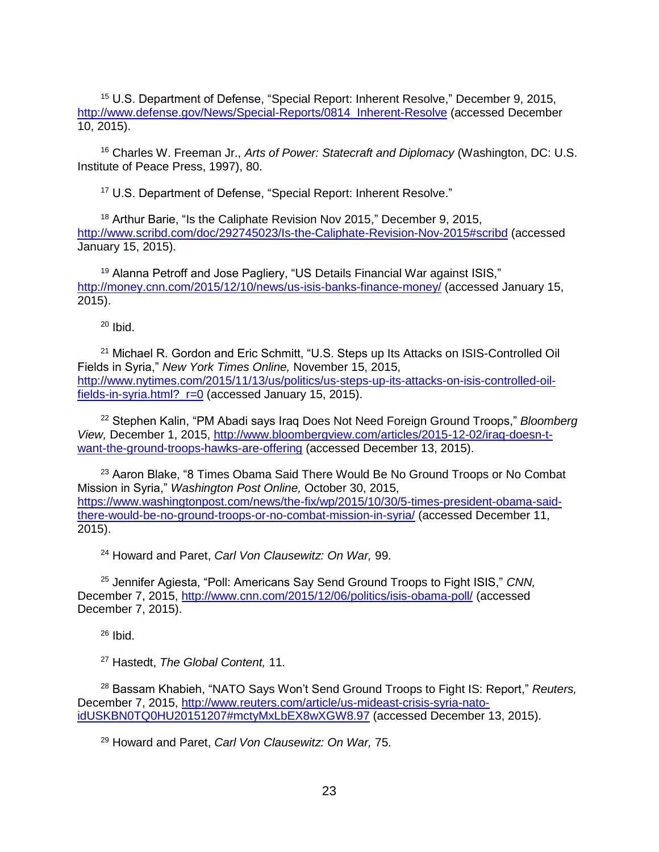<sup>15</sup> U.S. Department of Defense, "Special Report: Inherent Resolve," December 9, 2015, [http://www.defense.gov/News/Special-Reports/0814\\_Inherent-Resolve](http://www.defense.gov/News/Special-Reports/0814_Inherent-Resolve) (accessed December 10, 2015).

<sup>16</sup> Charles W. Freeman Jr., *Arts of Power: Statecraft and Diplomacy* (Washington, DC: U.S. Institute of Peace Press, 1997), 80.

<sup>17</sup> U.S. Department of Defense, "Special Report: Inherent Resolve."

<sup>18</sup> Arthur Barie, "Is the Caliphate Revision Nov 2015," December 9, 2015, <http://www.scribd.com/doc/292745023/Is-the-Caliphate-Revision-Nov-2015#scribd> (accessed January 15, 2015).

<sup>19</sup> Alanna Petroff and Jose Pagliery, "US Details Financial War against ISIS," <http://money.cnn.com/2015/12/10/news/us-isis-banks-finance-money/> (accessed January 15, 2015).

 $20$  Ibid.

<sup>21</sup> Michael R. Gordon and Eric Schmitt, "U.S. Steps up Its Attacks on ISIS-Controlled Oil Fields in Syria," *New York Times Online,* November 15, 2015, [http://www.nytimes.com/2015/11/13/us/politics/us-steps-up-its-attacks-on-isis-controlled-oil](http://www.nytimes.com/2015/11/13/us/politics/us-steps-up-its-attacks-on-isis-controlled-oil-fields-in-syria.html?_r=0)[fields-in-syria.html?\\_r=0](http://www.nytimes.com/2015/11/13/us/politics/us-steps-up-its-attacks-on-isis-controlled-oil-fields-in-syria.html?_r=0) (accessed January 15, 2015).

<sup>22</sup> Stephen Kalin, "PM Abadi says Iraq Does Not Need Foreign Ground Troops," *Bloomberg View,* December 1, 2015, [http://www.bloombergview.com/articles/2015-12-02/iraq-doesn-t](http://www.bloombergview.com/articles/2015-12-02/iraq-doesn-t-want-the-ground-troops-hawks-are-offering)[want-the-ground-troops-hawks-are-offering](http://www.bloombergview.com/articles/2015-12-02/iraq-doesn-t-want-the-ground-troops-hawks-are-offering) (accessed December 13, 2015).

<sup>23</sup> Aaron Blake, "8 Times Obama Said There Would Be No Ground Troops or No Combat Mission in Syria," *Washington Post Online,* October 30, 2015, [https://www.washingtonpost.com/news/the-fix/wp/2015/10/30/5-times-president-obama-said](https://www.washingtonpost.com/news/the-fix/wp/2015/10/30/5-times-president-obama-said-there-would-be-no-ground-troops-or-no-combat-mission-in-syria/)[there-would-be-no-ground-troops-or-no-combat-mission-in-syria/](https://www.washingtonpost.com/news/the-fix/wp/2015/10/30/5-times-president-obama-said-there-would-be-no-ground-troops-or-no-combat-mission-in-syria/) (accessed December 11, 2015).

<sup>24</sup> Howard and Paret, *Carl Von Clausewitz: On War,* 99.

<sup>25</sup> Jennifer Agiesta, "Poll: Americans Say Send Ground Troops to Fight ISIS," *CNN,*  December 7, 2015,<http://www.cnn.com/2015/12/06/politics/isis-obama-poll/> (accessed December 7, 2015).

 $26$  Ibid.

<sup>27</sup> Hastedt, *The Global Content,* 11.

<sup>28</sup> Bassam Khabieh, "NATO Says Won't Send Ground Troops to Fight IS: Report," *Reuters,* December 7, 2015, [http://www.reuters.com/article/us-mideast-crisis-syria-nato](http://www.reuters.com/article/us-mideast-crisis-syria-nato-idUSKBN0TQ0HU20151207#mctyMxLbEX8wXGW8.97)[idUSKBN0TQ0HU20151207#mctyMxLbEX8wXGW8.97](http://www.reuters.com/article/us-mideast-crisis-syria-nato-idUSKBN0TQ0HU20151207#mctyMxLbEX8wXGW8.97) (accessed December 13, 2015).

<sup>29</sup> Howard and Paret, *Carl Von Clausewitz: On War,* 75.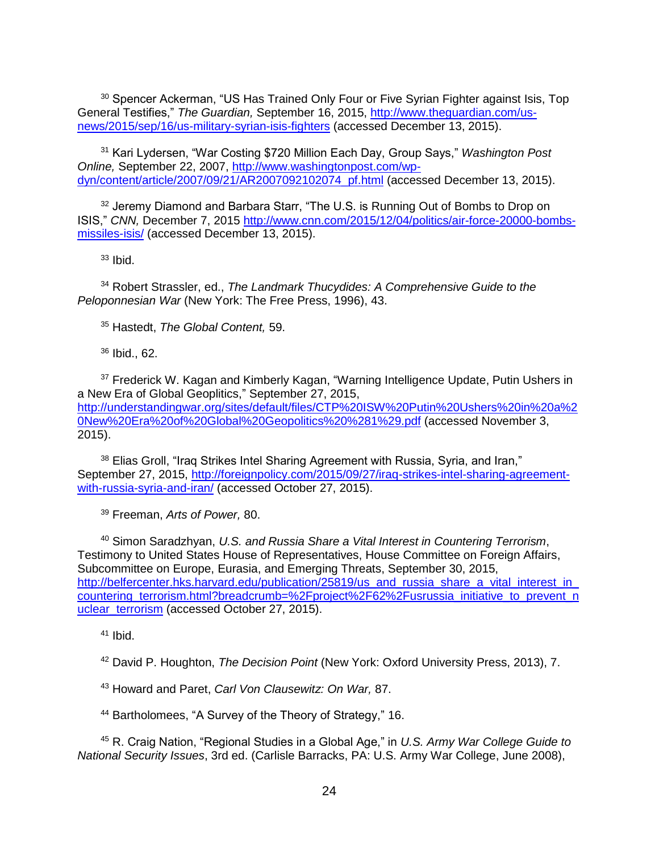<sup>30</sup> Spencer Ackerman, "US Has Trained Only Four or Five Syrian Fighter against Isis, Top General Testifies," *The Guardian,* September 16, 2015, [http://www.theguardian.com/us](http://www.theguardian.com/us-news/2015/sep/16/us-military-syrian-isis-fighters)[news/2015/sep/16/us-military-syrian-isis-fighters](http://www.theguardian.com/us-news/2015/sep/16/us-military-syrian-isis-fighters) (accessed December 13, 2015).

<sup>31</sup> Kari Lydersen, "War Costing \$720 Million Each Day, Group Says," *Washington Post Online,* September 22, 2007, [http://www.washingtonpost.com/wp](http://www.washingtonpost.com/wp-dyn/content/article/2007/09/21/AR2007092102074_pf.html)[dyn/content/article/2007/09/21/AR2007092102074\\_pf.html](http://www.washingtonpost.com/wp-dyn/content/article/2007/09/21/AR2007092102074_pf.html) (accessed December 13, 2015).

<sup>32</sup> Jeremy Diamond and Barbara Starr, "The U.S. is Running Out of Bombs to Drop on ISIS," *CNN,* December 7, 2015 [http://www.cnn.com/2015/12/04/politics/air-force-20000-bombs](http://www.cnn.com/2015/12/04/politics/air-force-20000-bombs-missiles-isis/)[missiles-isis/](http://www.cnn.com/2015/12/04/politics/air-force-20000-bombs-missiles-isis/) (accessed December 13, 2015).

 $33$  Ibid.

<sup>34</sup> Robert Strassler, ed., *The Landmark Thucydides: A Comprehensive Guide to the Peloponnesian War* (New York: The Free Press, 1996), 43.

<sup>35</sup> Hastedt, *The Global Content,* 59.

<sup>36</sup> Ibid., 62.

<sup>37</sup> Frederick W. Kagan and Kimberly Kagan, "Warning Intelligence Update, Putin Ushers in a New Era of Global Geoplitics," September 27, 2015, [http://understandingwar.org/sites/default/files/CTP%20ISW%20Putin%20Ushers%20in%20a%2](http://understandingwar.org/sites/default/files/CTP%20ISW%20Putin%20Ushers%20in%20a%20New%20Era%20of%20Global%20Geopolitics%20%281%29.pdf) [0New%20Era%20of%20Global%20Geopolitics%20%281%29.pdf](http://understandingwar.org/sites/default/files/CTP%20ISW%20Putin%20Ushers%20in%20a%20New%20Era%20of%20Global%20Geopolitics%20%281%29.pdf) (accessed November 3, 2015).

<sup>38</sup> Elias Groll, "Iraq Strikes Intel Sharing Agreement with Russia, Syria, and Iran," September 27, 2015, [http://foreignpolicy.com/2015/09/27/iraq-strikes-intel-sharing-agreement](http://foreignpolicy.com/2015/09/27/iraq-strikes-intel-sharing-agreement-with-russia-syria-and-iran/)[with-russia-syria-and-iran/](http://foreignpolicy.com/2015/09/27/iraq-strikes-intel-sharing-agreement-with-russia-syria-and-iran/) (accessed October 27, 2015).

<sup>39</sup> Freeman, *Arts of Power,* 80.

<sup>40</sup> Simon Saradzhyan, *U.S. and Russia Share a Vital Interest in Countering Terrorism*, Testimony to United States House of Representatives, House Committee on Foreign Affairs, Subcommittee on Europe, Eurasia, and Emerging Threats, September 30, 2015, http://belfercenter.hks.harvard.edu/publication/25819/us\_and\_russia\_share\_a\_vital\_interest\_in countering terrorism.html?breadcrumb=%2Fproject%2F62%2Fusrussia\_initiative\_to\_prevent\_n uclear terrorism (accessed October 27, 2015).

 $41$  Ibid.

<sup>42</sup> David P. Houghton, *The Decision Point* (New York: Oxford University Press, 2013), 7.

<sup>43</sup> Howard and Paret, *Carl Von Clausewitz: On War,* 87.

<sup>44</sup> Bartholomees, "A Survey of the Theory of Strategy," 16.

<sup>45</sup> R. Craig Nation, "Regional Studies in a Global Age," in *U.S. Army War College Guide to National Security Issues*, 3rd ed. (Carlisle Barracks, PA: U.S. Army War College, June 2008),